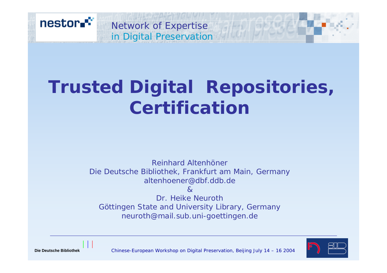

# **Trusted Digital Repositories, Certification**

Reinhard AltenhönerDie Deutsche Bibliothek, Frankfurt am Main, Germany altenhoener@dbf.ddb.de

 $\mathcal{R}$ Dr. Heike NeurothGöttingen State and University Library, Germany neuroth@mail.sub.uni-goettingen.de



1

Chinese-European Workshop on Digital Preservation, Beijing July 14 – 16 2004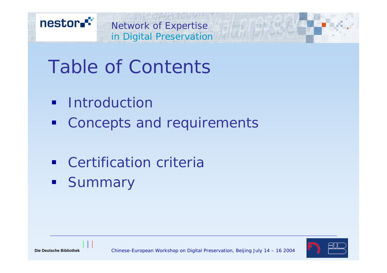



# Table of Contents

- **Introduction**
- **Concepts and requirements**
- **EXEC** Certification criteria
- **Summary**

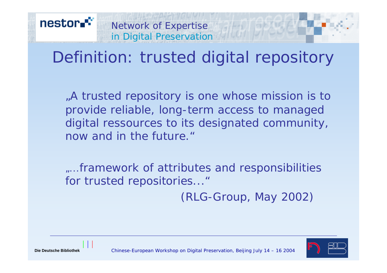## Definition: trusted digital repository

"A trusted repository is one whose mission is to provide reliable, long-term access to managed digital ressources to its designated community, now and in the future."

*"...*framework of attributes and responsibilities for trusted repositories..."

*(RLG-Group, May 2002)*



Chinese-European Workshop on Digital Preservation, Beijing July 14 – 16 2004

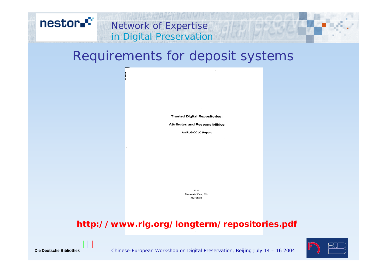

#### Requirements for deposit systems

**Trusted Digital Repositories:** 

**Attributes and Responsibilities** 

An RLG-OCLC Report

 $\mathbf{RLG}$ Mountain View, CA May 2002

#### **http://www.rlg.org/longterm/repositories.pdf**



4

Chinese-European Workshop on Digital Preservation, Beijing July 14 – 16 2004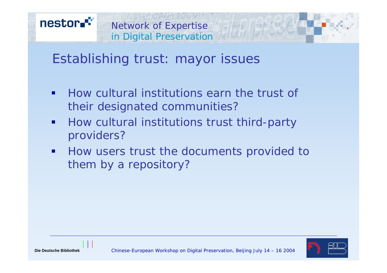

#### Establishing trust: mayor issues

- $\blacksquare$  How cultural institutions earn the trust of their designated communities?
- $\blacksquare$  How cultural institutions trust third-party providers?
- $\blacksquare$  How users trust the documents provided to them by a repository?

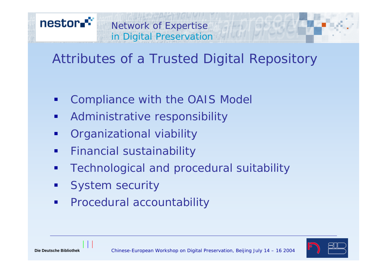

#### Attributes of a Trusted Digital Repository

- h. Compliance with the OAIS Model
- $\blacksquare$ Administrative responsibility
- $\blacksquare$ Organizational viability
- $\blacksquare$ Financial sustainability
- $\blacksquare$ Technological and procedural suitability
- $\overline{\phantom{a}}$ System security
- $\blacksquare$ Procedural accountability



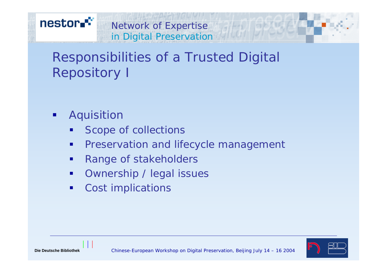

#### Responsibilities of a Trusted Digital Repository I

- $\blacksquare$  Aquisition
	- П Scope of collections
	- $\blacksquare$ Preservation and lifecycle management
	- $\blacksquare$ Range of stakeholders
	- $\blacksquare$ Ownership / legal issues
	- $\blacksquare$ Cost implications

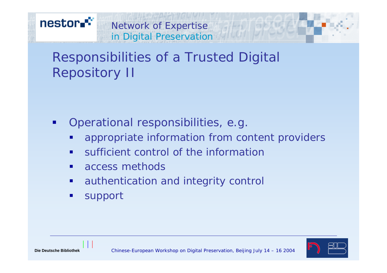

#### Responsibilities of a Trusted Digital Repository II

- $\blacksquare$  Operational responsibilities, e.g.
	- $\blacksquare$ appropriate information from content providers
	- $\blacksquare$ sufficient control of the information
	- $\blacksquare$ access methods
	- $\blacksquare$ authentication and integrity control
	- $\blacksquare$ support

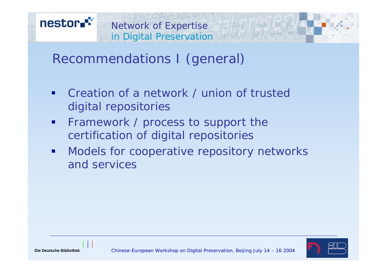

Recommendations I (general)

- $\blacksquare$  Creation of a network / union of trusteddigital repositories
- $\blacksquare$  Framework / process to support the certification of digital repositories
- $\mathbf{r}$  Models for cooperative repository networks and services

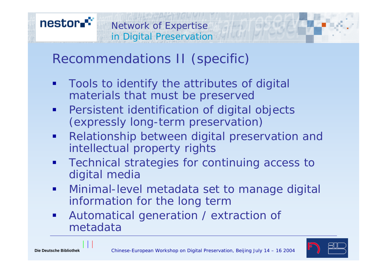Recommendations II (specific)

- п Tools to identify the attributes of digital materials that must be preserved
- **•** Persistent identification of digital objects (expressly long-term preservation)
- $\blacksquare$  Relationship between digital preservation and intellectual property rights
- $\blacksquare$  Technical strategies for continuing access to digital media
- $\blacksquare$  Minimal-level metadata set to manage digital information for the long term
- $\blacksquare$  Automatical generation / extraction of metadata

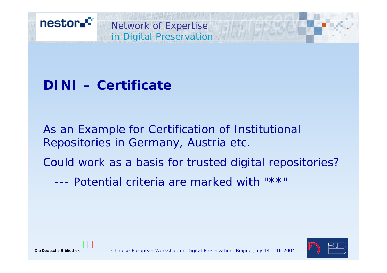

#### **DINI – Certificate**

As an Example for Certification of Institutional Repositories in Germany, Austria etc.

Could work as a basis for trusted digital repositories?

--- Potential criteria are marked with "\*\*"



**Die Deutsche Bibliothek**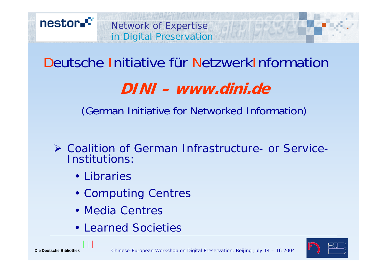

### Deutsche Initiative für NetzwerkInformation

### **DINI – www.dini.de**

(German Initiative for Networked Information)

- ¾ Coalition of German Infrastructure- or Service-Institutions:
	- Libraries
	- Computing Centres
	- Media Centres
	- Learned Societies

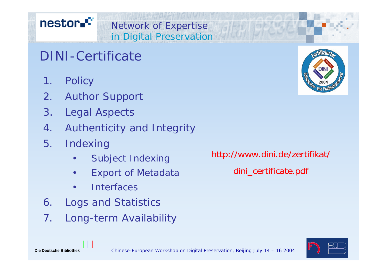#### nestor.<sup>\*\*</sup>

#### DINI-Certificate

- 1. Policy
- 2. Author Support
- 3. Legal Aspects
- 4. Authenticity and Integrity

Network of Expertise

in Digital Preservation

- 5. Indexing
	- •Subject Indexing
	- •Export of Metadata
	- •**Interfaces**
- 6. Logs and Statistics
- 7. Long-term Availability

http://www.dini.de/zertifikat/ dini\_certificate.pdf





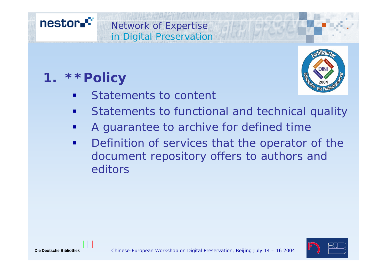

### **1. \*\*Policy**



- $\blacksquare$ Statements to content
- п Statements to functional and technical quality
- п A guarantee to archive for defined time
- $\blacksquare$  Definition of services that the operator of the document repository offers to authors and editors

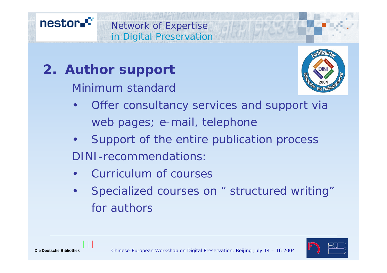

### **2. Author support**

Minimum standard

- $\bullet$  Offer consultancy services and support via web pages; e-mail, telephone
- $\bullet$  Support of the entire publication process DINI-recommendations:
- •Curriculum of courses
- • Specialized courses on " structured writing" for authors

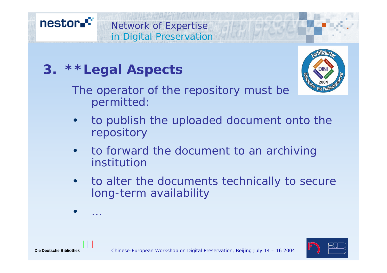### **3. \*\*Legal Aspects**

The operator of the repository must be permitted:

- $\bullet$  to publish the uploaded document onto the repository
- • to forward the document to an archiving institution
- • to alter the documents technically to secure long-term availability



•

…



#### nestor.<sup>\*\*</sup> Network of Expertise in Digital Preservation

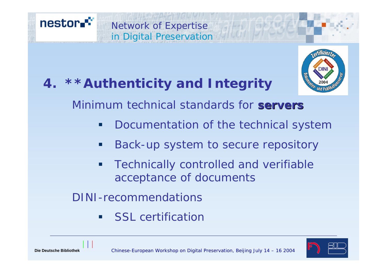## **4. \*\*Authenticity and Integrity**

Network of Expertise

in Digital Preservation



Minimum technical standards for **servers servers**

- Documentation of the technical system
- **Service Service** Back-up system to secure repository
- п Technically controlled and verifiable acceptance of documents

DINI-recommendations

п SSL certification



nestor.<sup>\*\*</sup>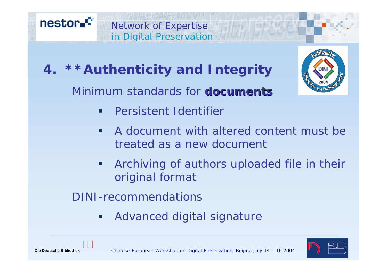

#### **4. \*\*Authenticity and Integrity**

Minimum standards for **documents documents**



- $\blacksquare$ Persistent Identifier
- $\blacksquare$  A document with altered content must be treated as a new document
- п Archiving of authors uploaded file in their original format

DINI-recommendations

п Advanced digital signature

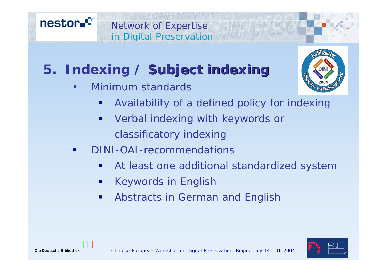

## **5. Indexing / Subject indexing**

•Minimum standards



- $\mathbb{R}^3$ Availability of a defined policy for indexing
- $\blacksquare$  Verbal indexing with keywords or classificatory indexing
- DINI-OAI-recommendations
	- $\mathbb{R}^3$ At least one additional standardized system
	- p. Keywords in English
	- $\blacksquare$ Abstracts in German and English

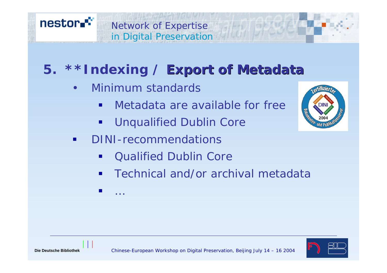

### **5. \*\*Indexing / Export of Metadata**

•Minimum standards

…

- п **• Metadata are available for free**
- ш Unqualified Dublin Core
- $\blacksquare$  DINI-recommendations
	- $\blacksquare$ Qualified Dublin Core
	- $\blacksquare$ Technical and/or archival metadata



 $\frac{1}{2}$ 

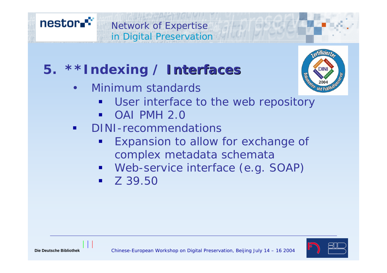



### **5. \*\*Indexing / Interfaces Interfaces**

•Minimum standards

- 
- $\blacksquare$ User interface to the web repository
- OAI PMH 2.0
- $\blacksquare$  DINI-recommendations
	- Expansion to allow for exchange of complex metadata schemata
	- Web-service interface (e.g. SOAP)
	- $\blacksquare$  Z 39.50

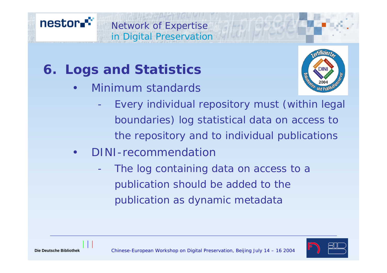### **6. Logs and Statistics**

•Minimum standards

Network of Expertise

in Digital Preservation



- Every individual repository must (within legal boundaries) log statistical data on access to the repository and to individual publications
- • DINI-recommendation
	- The log containing data on access to a publication should be added to the publication as dynamic metadata



nestor.<sup>\*\*</sup>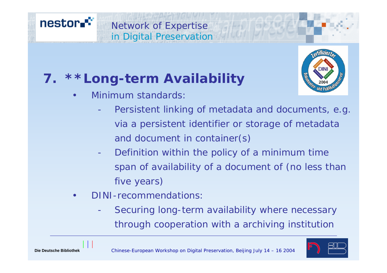#### Network of Expertise in Digital Preservation



### **7. \*\*Long-term Availability**

**Tifiziers** 

- • Minimum standards:
	- - Persistent linking of metadata and documents, e.g. via a persistent identifier or storage of metadata and document in container(s)
	- - Definition within the policy of a minimum time span of availability of a document of (no less than five years)
- • DINI-recommendations:
	- - Securing long-term availability where necessary through cooperation with a archiving institution

nestor.<sup>\*\*</sup>

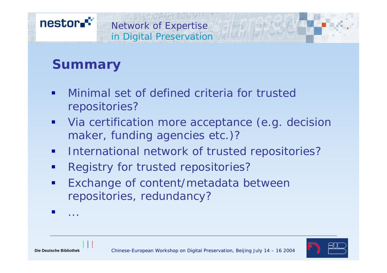#### **Summary**

- $\blacksquare$  Minimal set of defined criteria for trusted repositories?
- $\blacksquare$  Via certification more acceptance (e.g. decision maker, funding agencies etc.)?
- $\mathbf{r}$ International network of trusted repositories?
- $\blacksquare$ Registry for trusted repositories?
- $\blacksquare$  Exchange of content/metadata between repositories, redundancy?
- $\mathbb{R}^3$ ...